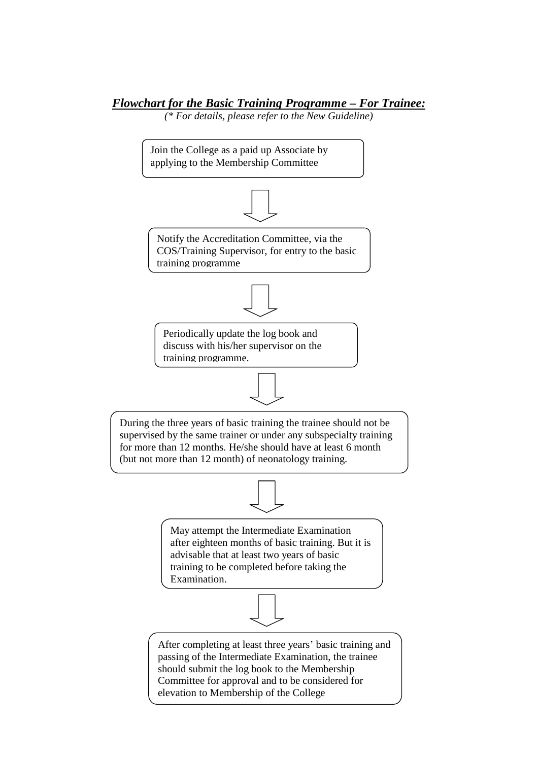## *Flowchart for the Basic Training Programme – For Trainee:*

*(\* For details, please refer to the New Guideline)* 

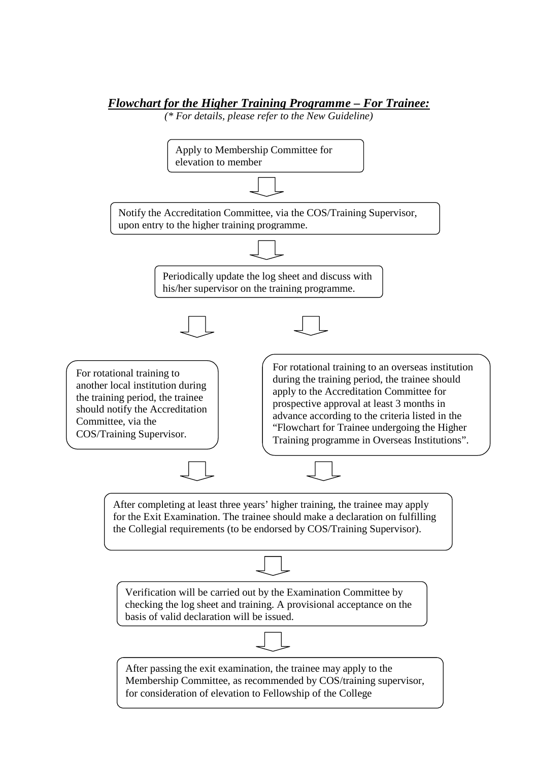## *Flowchart for the Higher Training Programme – For Trainee:*

*(\* For details, please refer to the New Guideline)*